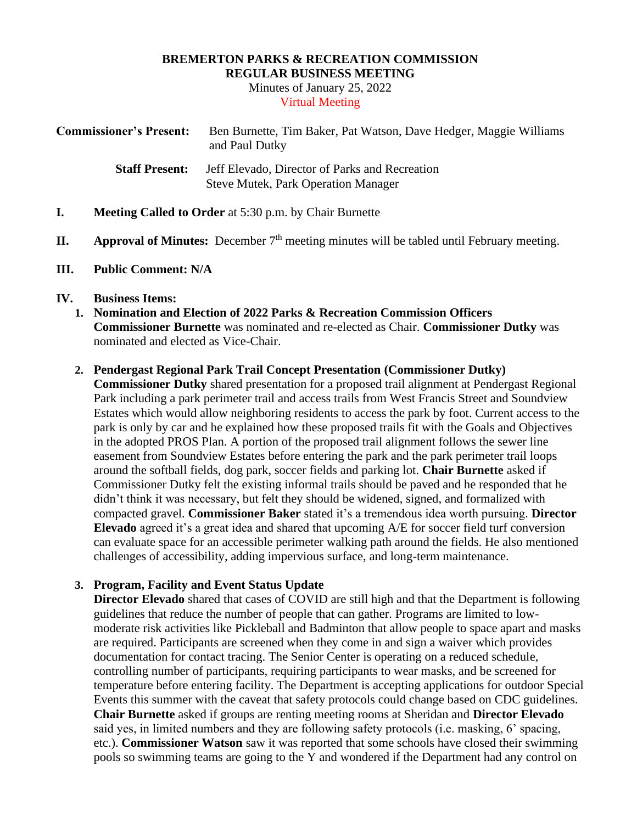#### **BREMERTON PARKS & RECREATION COMMISSION REGULAR BUSINESS MEETING**

Minutes of January 25, 2022 Virtual Meeting

| <b>Commissioner's Present:</b> | Ben Burnette, Tim Baker, Pat Watson, Dave Hedger, Maggie Williams<br>and Paul Dutky          |
|--------------------------------|----------------------------------------------------------------------------------------------|
| <b>Staff Present:</b>          | Jeff Elevado, Director of Parks and Recreation<br><b>Steve Mutek, Park Operation Manager</b> |

- **I. Meeting Called to Order** at 5:30 p.m. by Chair Burnette
- **II. Approval of Minutes:** December 7<sup>th</sup> meeting minutes will be tabled until February meeting.
- **III. Public Comment: N/A**

## **IV. Business Items:**

**1. Nomination and Election of 2022 Parks & Recreation Commission Officers Commissioner Burnette** was nominated and re-elected as Chair. **Commissioner Dutky** was nominated and elected as Vice-Chair.

## **2. Pendergast Regional Park Trail Concept Presentation (Commissioner Dutky)**

**Commissioner Dutky** shared presentation for a proposed trail alignment at Pendergast Regional Park including a park perimeter trail and access trails from West Francis Street and Soundview Estates which would allow neighboring residents to access the park by foot. Current access to the park is only by car and he explained how these proposed trails fit with the Goals and Objectives in the adopted PROS Plan. A portion of the proposed trail alignment follows the sewer line easement from Soundview Estates before entering the park and the park perimeter trail loops around the softball fields, dog park, soccer fields and parking lot. **Chair Burnette** asked if Commissioner Dutky felt the existing informal trails should be paved and he responded that he didn't think it was necessary, but felt they should be widened, signed, and formalized with compacted gravel. **Commissioner Baker** stated it's a tremendous idea worth pursuing. **Director Elevado** agreed it's a great idea and shared that upcoming A/E for soccer field turf conversion can evaluate space for an accessible perimeter walking path around the fields. He also mentioned challenges of accessibility, adding impervious surface, and long-term maintenance.

# **3. Program, Facility and Event Status Update**

**Director Elevado** shared that cases of COVID are still high and that the Department is following guidelines that reduce the number of people that can gather. Programs are limited to lowmoderate risk activities like Pickleball and Badminton that allow people to space apart and masks are required. Participants are screened when they come in and sign a waiver which provides documentation for contact tracing. The Senior Center is operating on a reduced schedule, controlling number of participants, requiring participants to wear masks, and be screened for temperature before entering facility. The Department is accepting applications for outdoor Special Events this summer with the caveat that safety protocols could change based on CDC guidelines. **Chair Burnette** asked if groups are renting meeting rooms at Sheridan and **Director Elevado** said yes, in limited numbers and they are following safety protocols (i.e. masking, 6' spacing, etc.). **Commissioner Watson** saw it was reported that some schools have closed their swimming pools so swimming teams are going to the Y and wondered if the Department had any control on